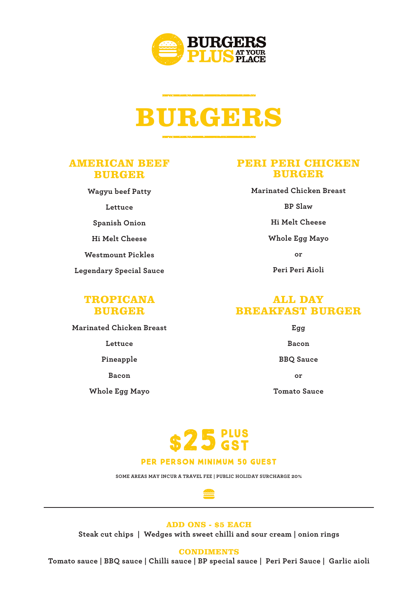



### **AMERICAN BEEF BURGER**

**Wagyu beef Patty**

**Lettuce** 

**Spanish Onion** 

**Hi Melt Cheese**

**Westmount Pickles** 

**Legendary Special Sauce**

### **TROPICANA BURGER**

**Marinated Chicken Breast Lettuce Pineapple Bacon** 

**Whole Egg Mayo**

### **PERI PERI CHICKEN BURGER**

**Marinated Chicken Breast** 

**BP Slaw** 

**Hi Melt Cheese**

**Whole Egg Mayo**

**or**

**Peri Peri Aioli**

## **ALL DAY BREAKFAST BURGER**

**Egg Bacon** 

**BBQ Sauce** 

**or** 

**Tomato Sauce** 

### \$25<sup>PL</sup> GST US

#### PER PERSON MINIMUM 50 GUEST

**SOME AREAS MAY INCUR A TRAVEL FEE | PUBLIC HOLIDAY SURCHARGE 20%**



#### **ADD ONS - \$5 EACH**

**Steak cut chips | Wedges with sweet chilli and sour cream | onion rings**

**CONDIMENTS**

**Tomato sauce | BBQ sauce | Chilli sauce | BP special sauce | Peri Peri Sauce | Garlic aioli**